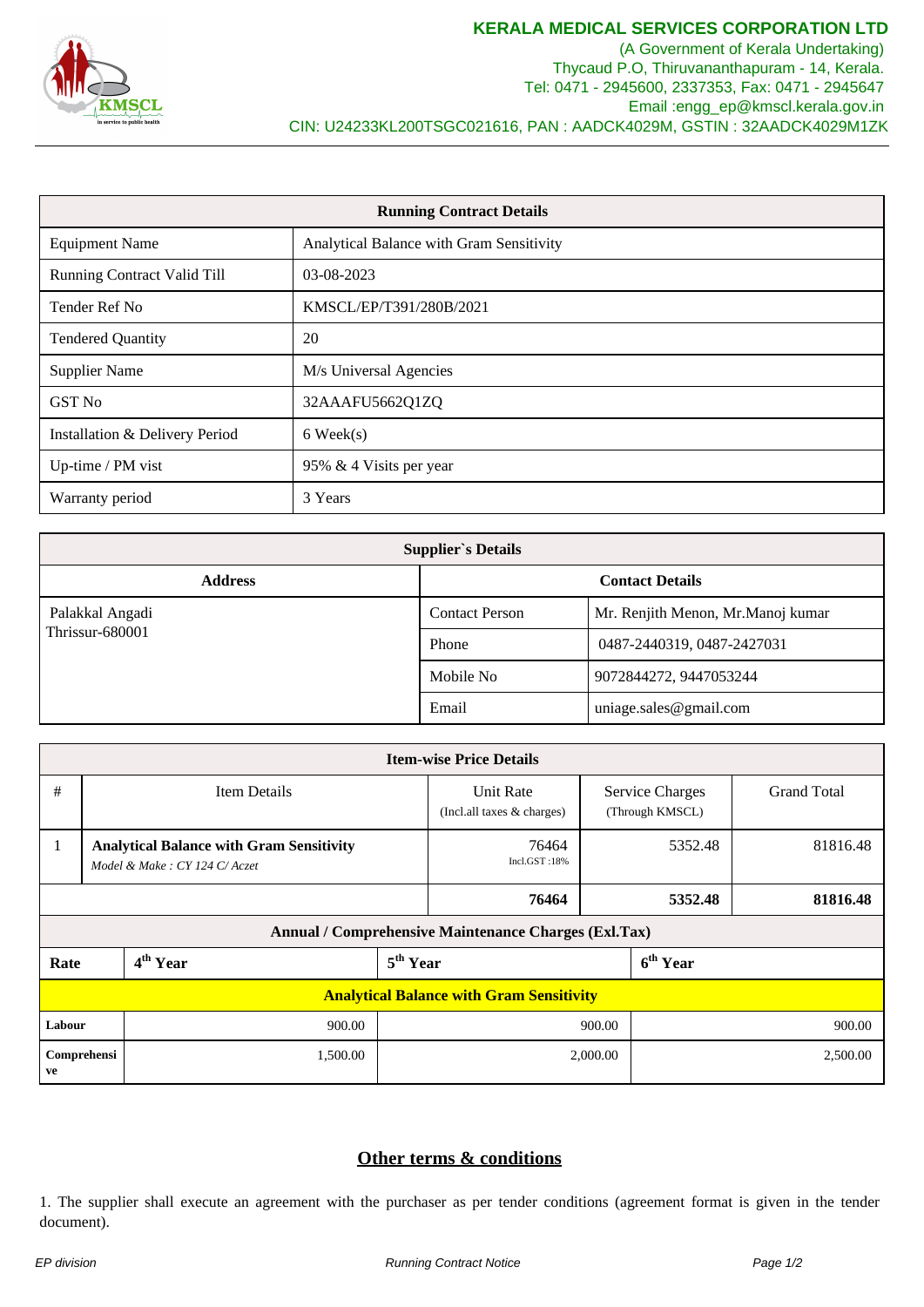

(A Government of Kerala Undertaking) Thycaud P.O, Thiruvananthapuram - 14, Kerala. Tel: 0471 - 2945600, 2337353, Fax: 0471 - 2945647 Email :engg\_ep@kmscl.kerala.gov.in CIN: U24233KL200TSGC021616, PAN : AADCK4029M, GSTIN : 32AADCK4029M1ZK

| <b>Running Contract Details</b> |                                          |  |  |
|---------------------------------|------------------------------------------|--|--|
| <b>Equipment Name</b>           | Analytical Balance with Gram Sensitivity |  |  |
| Running Contract Valid Till     | 03-08-2023                               |  |  |
| Tender Ref No                   | KMSCL/EP/T391/280B/2021                  |  |  |
| <b>Tendered Quantity</b>        | 20                                       |  |  |
| <b>Supplier Name</b>            | M/s Universal Agencies                   |  |  |
| GST No                          | 32AAAFU5662Q1ZQ                          |  |  |
| Installation & Delivery Period  | $6$ Week $(s)$                           |  |  |
| Up-time / PM vist               | 95% & 4 Visits per year                  |  |  |
| Warranty period                 | 3 Years                                  |  |  |

| <b>Supplier's Details</b> |                        |                                    |  |  |  |
|---------------------------|------------------------|------------------------------------|--|--|--|
| <b>Address</b>            | <b>Contact Details</b> |                                    |  |  |  |
| Palakkal Angadi           | <b>Contact Person</b>  | Mr. Renjith Menon, Mr. Manoj kumar |  |  |  |
| Thrissur-680001           | Phone                  | 0487-2440319, 0487-2427031         |  |  |  |
|                           | Mobile No              | 9072844272, 9447053244             |  |  |  |
|                           | Email                  | uniage.sales@gmail.com             |  |  |  |

| <b>Item-wise Price Details</b>                       |                                                                                 |                      |                      |                                                 |                                           |                    |  |  |
|------------------------------------------------------|---------------------------------------------------------------------------------|----------------------|----------------------|-------------------------------------------------|-------------------------------------------|--------------------|--|--|
| #                                                    | <b>Item Details</b>                                                             |                      |                      | <b>Unit Rate</b><br>(Incl. all taxes & charges) | <b>Service Charges</b><br>(Through KMSCL) | <b>Grand Total</b> |  |  |
| $\mathbf{1}$                                         | <b>Analytical Balance with Gram Sensitivity</b><br>Model & Make: CY 124 C/Aczet |                      |                      | 76464<br>Incl.GST:18%                           | 5352.48                                   | 81816.48           |  |  |
|                                                      |                                                                                 |                      |                      | 76464                                           | 5352.48                                   | 81816.48           |  |  |
| Annual / Comprehensive Maintenance Charges (Exl.Tax) |                                                                                 |                      |                      |                                                 |                                           |                    |  |  |
| Rate                                                 |                                                                                 | 4 <sup>th</sup> Year | 5 <sup>th</sup> Year |                                                 | 6 <sup>th</sup> Year                      |                    |  |  |
| <b>Analytical Balance with Gram Sensitivity</b>      |                                                                                 |                      |                      |                                                 |                                           |                    |  |  |
| Labour                                               |                                                                                 | 900.00               |                      |                                                 | 900.00                                    | 900.00             |  |  |
| Comprehensi<br>ve                                    |                                                                                 | 1,500.00             |                      |                                                 | 2,000.00                                  | 2,500.00           |  |  |

## **Other terms & conditions**

1. The supplier shall execute an agreement with the purchaser as per tender conditions (agreement format is given in the tender document).